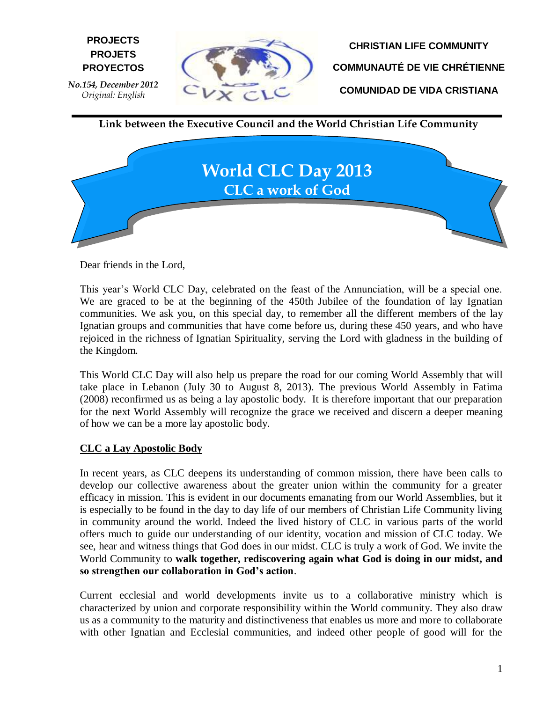

**CHRISTIAN LIFE COMMUNITY COMMUNAUTÉ DE VIE CHRÉTIENNE COMUNIDAD DE VIDA CRISTIANA**

**Link between the Executive Council and the World Christian Life Community**



Dear friends in the Lord,

This year's World CLC Day, celebrated on the feast of the Annunciation, will be a special one. We are graced to be at the beginning of the 450th Jubilee of the foundation of lay Ignatian communities. We ask you, on this special day, to remember all the different members of the lay Ignatian groups and communities that have come before us, during these 450 years, and who have rejoiced in the richness of Ignatian Spirituality, serving the Lord with gladness in the building of the Kingdom.

This World CLC Day will also help us prepare the road for our coming World Assembly that will take place in Lebanon (July 30 to August 8, 2013). The previous World Assembly in Fatima (2008) reconfirmed us as being a lay apostolic body. It is therefore important that our preparation for the next World Assembly will recognize the grace we received and discern a deeper meaning of how we can be a more lay apostolic body.

## **CLC a Lay Apostolic Body**

In recent years, as CLC deepens its understanding of common mission, there have been calls to develop our collective awareness about the greater union within the community for a greater efficacy in mission. This is evident in our documents emanating from our World Assemblies, but it is especially to be found in the day to day life of our members of Christian Life Community living in community around the world. Indeed the lived history of CLC in various parts of the world offers much to guide our understanding of our identity, vocation and mission of CLC today. We see, hear and witness things that God does in our midst. CLC is truly a work of God. We invite the World Community to **walk together, rediscovering again what God is doing in our midst, and so strengthen our collaboration in God's action**.

Current ecclesial and world developments invite us to a collaborative ministry which is characterized by union and corporate responsibility within the World community. They also draw us as a community to the maturity and distinctiveness that enables us more and more to collaborate with other Ignatian and Ecclesial communities, and indeed other people of good will for the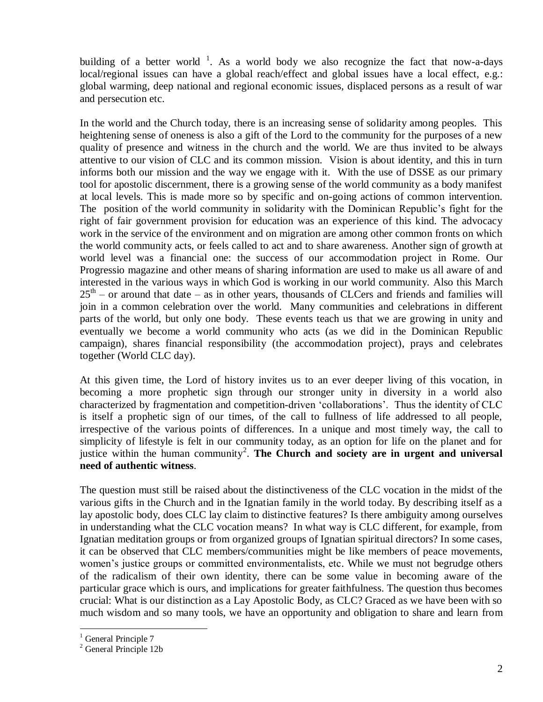building of a better world  $\frac{1}{1}$ . As a world body we also recognize the fact that now-a-days local/regional issues can have a global reach/effect and global issues have a local effect, e.g.: global warming, deep national and regional economic issues, displaced persons as a result of war and persecution etc.

In the world and the Church today, there is an increasing sense of solidarity among peoples. This heightening sense of oneness is also a gift of the Lord to the community for the purposes of a new quality of presence and witness in the church and the world. We are thus invited to be always attentive to our vision of CLC and its common mission. Vision is about identity, and this in turn informs both our mission and the way we engage with it. With the use of DSSE as our primary tool for apostolic discernment, there is a growing sense of the world community as a body manifest at local levels. This is made more so by specific and on-going actions of common intervention. The position of the world community in solidarity with the Dominican Republic's fight for the right of fair government provision for education was an experience of this kind. The advocacy work in the service of the environment and on migration are among other common fronts on which the world community acts, or feels called to act and to share awareness. Another sign of growth at world level was a financial one: the success of our accommodation project in Rome. Our Progressio magazine and other means of sharing information are used to make us all aware of and interested in the various ways in which God is working in our world community. Also this March  $25<sup>th</sup>$  – or around that date – as in other years, thousands of CLCers and friends and families will join in a common celebration over the world. Many communities and celebrations in different parts of the world, but only one body. These events teach us that we are growing in unity and eventually we become a world community who acts (as we did in the Dominican Republic campaign), shares financial responsibility (the accommodation project), prays and celebrates together (World CLC day).

At this given time, the Lord of history invites us to an ever deeper living of this vocation, in becoming a more prophetic sign through our stronger unity in diversity in a world also characterized by fragmentation and competition-driven 'collaborations'. Thus the identity of CLC is itself a prophetic sign of our times, of the call to fullness of life addressed to all people, irrespective of the various points of differences. In a unique and most timely way, the call to simplicity of lifestyle is felt in our community today, as an option for life on the planet and for justice within the human community<sup>2</sup>. The Church and society are in urgent and universal **need of authentic witness**.

The question must still be raised about the distinctiveness of the CLC vocation in the midst of the various gifts in the Church and in the Ignatian family in the world today. By describing itself as a lay apostolic body, does CLC lay claim to distinctive features? Is there ambiguity among ourselves in understanding what the CLC vocation means? In what way is CLC different, for example, from Ignatian meditation groups or from organized groups of Ignatian spiritual directors? In some cases, it can be observed that CLC members/communities might be like members of peace movements, women's justice groups or committed environmentalists, etc. While we must not begrudge others of the radicalism of their own identity, there can be some value in becoming aware of the particular grace which is ours, and implications for greater faithfulness. The question thus becomes crucial: What is our distinction as a Lay Apostolic Body, as CLC? Graced as we have been with so much wisdom and so many tools, we have an opportunity and obligation to share and learn from

 $\overline{a}$ 

<sup>&</sup>lt;sup>1</sup> General Principle 7

<sup>2</sup> General Principle 12b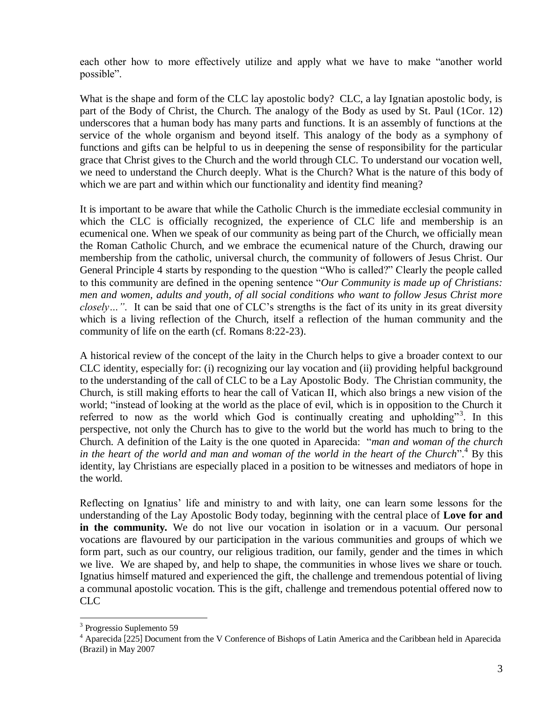each other how to more effectively utilize and apply what we have to make "another world possible".

What is the shape and form of the CLC lay apostolic body? CLC, a lay Ignatian apostolic body, is part of the Body of Christ, the Church. The analogy of the Body as used by St. Paul (1Cor. 12) underscores that a human body has many parts and functions. It is an assembly of functions at the service of the whole organism and beyond itself. This analogy of the body as a symphony of functions and gifts can be helpful to us in deepening the sense of responsibility for the particular grace that Christ gives to the Church and the world through CLC. To understand our vocation well, we need to understand the Church deeply. What is the Church? What is the nature of this body of which we are part and within which our functionality and identity find meaning?

It is important to be aware that while the Catholic Church is the immediate ecclesial community in which the CLC is officially recognized, the experience of CLC life and membership is an ecumenical one. When we speak of our community as being part of the Church, we officially mean the Roman Catholic Church, and we embrace the ecumenical nature of the Church, drawing our membership from the catholic, universal church, the community of followers of Jesus Christ. Our General Principle 4 starts by responding to the question "Who is called?" Clearly the people called to this community are defined in the opening sentence "*Our Community is made up of Christians: men and women, adults and youth, of all social conditions who want to follow Jesus Christ more closely…"*. It can be said that one of CLC's strengths is the fact of its unity in its great diversity which is a living reflection of the Church, itself a reflection of the human community and the community of life on the earth (cf. Romans 8:22-23).

A historical review of the concept of the laity in the Church helps to give a broader context to our CLC identity, especially for: (i) recognizing our lay vocation and (ii) providing helpful background to the understanding of the call of CLC to be a Lay Apostolic Body. The Christian community, the Church, is still making efforts to hear the call of Vatican II, which also brings a new vision of the world; "instead of looking at the world as the place of evil, which is in opposition to the Church it referred to now as the world which God is continually creating and upholding"<sup>3</sup>. In this perspective, not only the Church has to give to the world but the world has much to bring to the Church. A definition of the Laity is the one quoted in Aparecida: "*man and woman of the church in the heart of the world and man and woman of the world in the heart of the Church*".<sup>4</sup> By this identity, lay Christians are especially placed in a position to be witnesses and mediators of hope in the world.

Reflecting on Ignatius' life and ministry to and with laity, one can learn some lessons for the understanding of the Lay Apostolic Body today, beginning with the central place of **Love for and in the community***.* We do not live our vocation in isolation or in a vacuum. Our personal vocations are flavoured by our participation in the various communities and groups of which we form part, such as our country, our religious tradition, our family, gender and the times in which we live. We are shaped by, and help to shape, the communities in whose lives we share or touch. Ignatius himself matured and experienced the gift, the challenge and tremendous potential of living a communal apostolic vocation. This is the gift, challenge and tremendous potential offered now to CLC

 $\overline{a}$ 

<sup>&</sup>lt;sup>3</sup> Progressio Suplemento 59

<sup>4</sup> Aparecida [225] Document from the V Conference of Bishops of Latin America and the Caribbean held in Aparecida (Brazil) in May 2007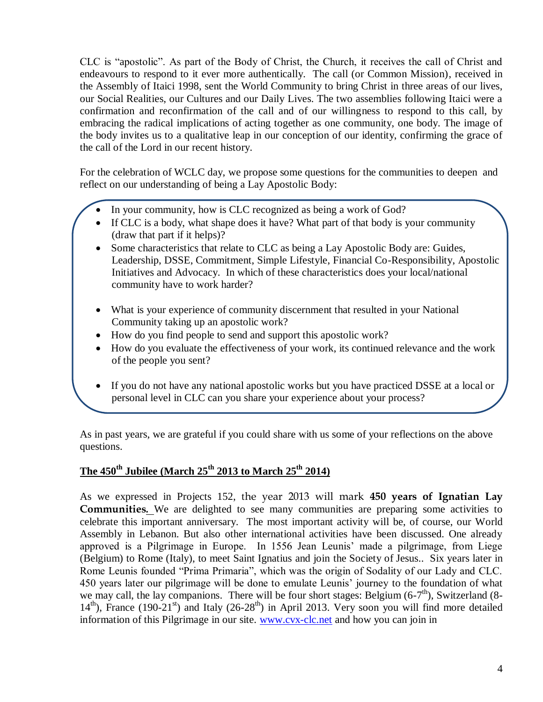CLC is "apostolic". As part of the Body of Christ, the Church, it receives the call of Christ and endeavours to respond to it ever more authentically. The call (or Common Mission), received in the Assembly of Itaici 1998, sent the World Community to bring Christ in three areas of our lives, our Social Realities, our Cultures and our Daily Lives. The two assemblies following Itaici were a confirmation and reconfirmation of the call and of our willingness to respond to this call, by embracing the radical implications of acting together as one community, one body. The image of the body invites us to a qualitative leap in our conception of our identity, confirming the grace of the call of the Lord in our recent history.

For the celebration of WCLC day, we propose some questions for the communities to deepen and reflect on our understanding of being a Lay Apostolic Body:

- In your community, how is CLC recognized as being a work of God?
- If CLC is a body, what shape does it have? What part of that body is your community (draw that part if it helps)?
- Some characteristics that relate to CLC as being a Lay Apostolic Body are: Guides, Leadership, DSSE, Commitment, Simple Lifestyle, Financial Co-Responsibility, Apostolic Initiatives and Advocacy. In which of these characteristics does your local/national community have to work harder?
- What is your experience of community discernment that resulted in your National Community taking up an apostolic work?
- How do you find people to send and support this apostolic work?
- How do you evaluate the effectiveness of your work, its continued relevance and the work of the people you sent?
- If you do not have any national apostolic works but you have practiced DSSE at a local or personal level in CLC can you share your experience about your process?

As in past years, we are grateful if you could share with us some of your reflections on the above questions.

## **The 450th Jubilee (March 25th 2013 to March 25th 2014)**

As we expressed in Projects 152, the year 2013 will mark **450 years of Ignatian Lay Communities***.* We are delighted to see many communities are preparing some activities to celebrate this important anniversary. The most important activity will be, of course, our World Assembly in Lebanon. But also other international activities have been discussed. One already approved is a Pilgrimage in Europe. In 1556 Jean Leunis' made a pilgrimage, from Liege (Belgium) to Rome (Italy), to meet Saint Ignatius and join the Society of Jesus.. Six years later in Rome Leunis founded "Prima Primaria", which was the origin of Sodality of our Lady and CLC. 450 years later our pilgrimage will be done to emulate Leunis' journey to the foundation of what we may call, the lay companions. There will be four short stages: Belgium  $(6-7<sup>th</sup>)$ , Switzerland  $(8 14<sup>th</sup>$ ), France (190-21<sup>st</sup>) and Italy (26-28<sup>th</sup>) in April 2013. Very soon you will find more detailed information of this Pilgrimage in our site. [www.cvx-clc.net](http://www.cvx-clc.net/) and how you can join in